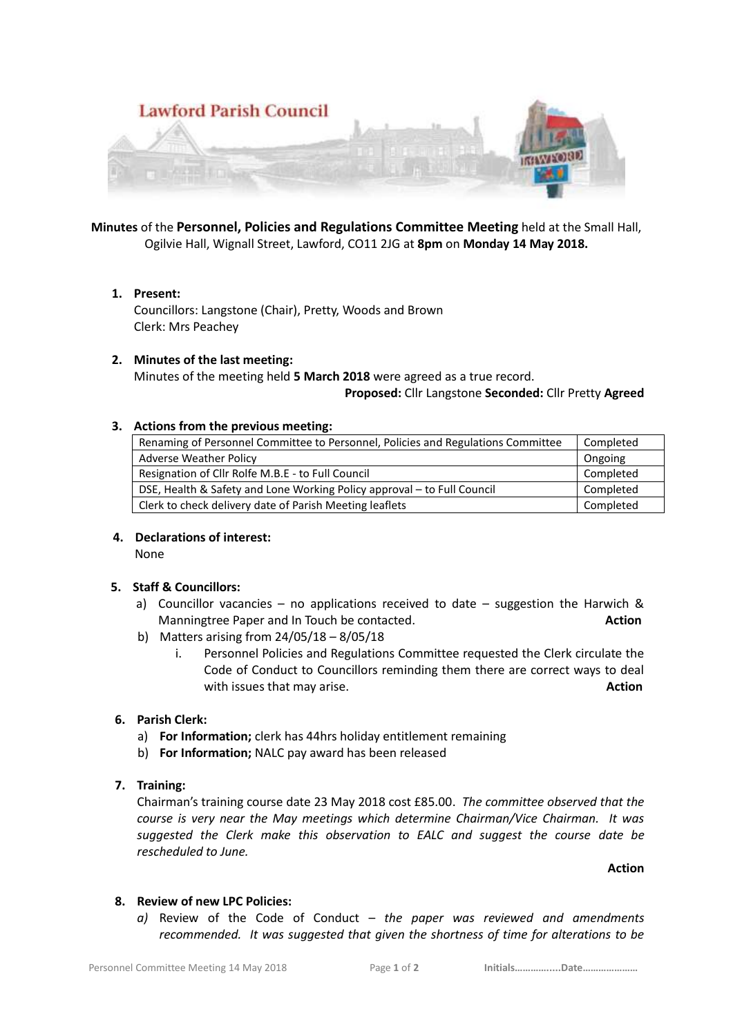

**Minutes** of the **Personnel, Policies and Regulations Committee Meeting** held at the Small Hall, Ogilvie Hall, Wignall Street, Lawford, CO11 2JG at **8pm** on **Monday 14 May 2018.**

## **1. Present:**

Councillors: Langstone (Chair), Pretty, Woods and Brown Clerk: Mrs Peachey

#### **2. Minutes of the last meeting:**

Minutes of the meeting held **5 March 2018** were agreed as a true record.

#### **Proposed:** Cllr Langstone **Seconded:** Cllr Pretty **Agreed**

#### **3. Actions from the previous meeting:**

| Renaming of Personnel Committee to Personnel, Policies and Regulations Committee | Completed |
|----------------------------------------------------------------------------------|-----------|
| <b>Adverse Weather Policy</b>                                                    | Ongoing   |
| Resignation of Cllr Rolfe M.B.E - to Full Council                                | Completed |
| DSE, Health & Safety and Lone Working Policy approval - to Full Council          | Completed |
| Clerk to check delivery date of Parish Meeting leaflets                          | Completed |

## **4. Declarations of interest:**

None

## **5. Staff & Councillors:**

- a) Councillor vacancies no applications received to date suggestion the Harwich  $\&$ Manningtree Paper and In Touch be contacted. **Action**
- b) Matters arising from 24/05/18 8/05/18
	- i. Personnel Policies and Regulations Committee requested the Clerk circulate the Code of Conduct to Councillors reminding them there are correct ways to deal with issues that may arise. **Action Action Action**

## **6. Parish Clerk:**

- a) **For Information;** clerk has 44hrs holiday entitlement remaining
- b) **For Information;** NALC pay award has been released
- **7. Training:**

Chairman's training course date 23 May 2018 cost £85.00. *The committee observed that the course is very near the May meetings which determine Chairman/Vice Chairman. It was suggested the Clerk make this observation to EALC and suggest the course date be rescheduled to June.*

**Action**

#### **8. Review of new LPC Policies:**

*a)* Review of the Code of Conduct – *the paper was reviewed and amendments recommended. It was suggested that given the shortness of time for alterations to be*